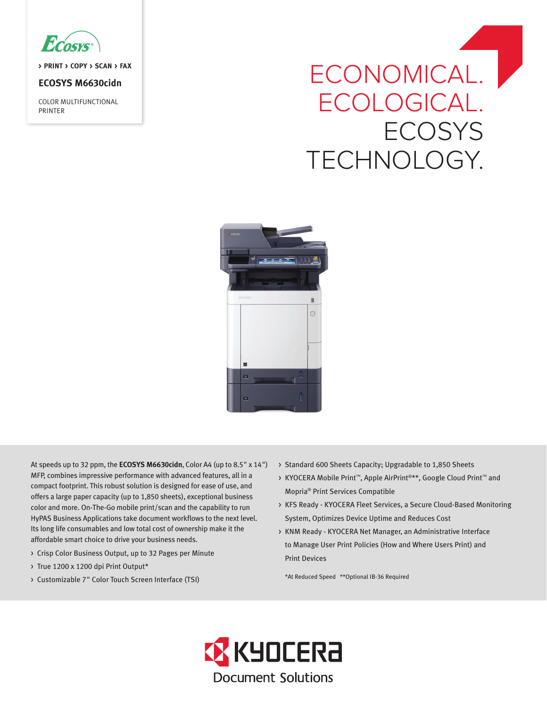

**> PRINT > COPY > SCAN > FAX**

# **ECOSYS M6630cidn**

COLOR MULTIFUNCTIONAL PRINTER

# ECONOMICAL. ECOLOGICAL. **ECOSYS** TECHNOLOGY.



At speeds up to 32 ppm, the **ECOSYS M6630cidn**, Color A4 (up to 8.5" x 14") MFP, combines impressive performance with advanced features, all in a compact footprint. This robust solution is designed for ease of use, and offers a large paper capacity (up to 1,850 sheets), exceptional business color and more. On-The-Go mobile print/scan and the capability to run HyPAS Business Applications take document workflows to the next level. Its long life consumables and low total cost of ownership make it the affordable smart choice to drive your business needs.

- > Crisp Color Business Output, up to 32 Pages per Minute
- > True 1200 x 1200 dpi Print Output\*
- > Customizable 7" Color Touch Screen Interface (TSI)
- > Standard 600 Sheets Capacity; Upgradable to 1,850 Sheets
- > KYOCERA Mobile Print™, Apple AirPrint®\*\*, Google Cloud Print™ and Mopria® Print Services Compatible
- > KFS Ready KYOCERA Fleet Services, a Secure Cloud-Based Monitoring System, Optimizes Device Uptime and Reduces Cost
- > KNM Ready KYOCERA Net Manager, an Administrative Interface to Manage User Print Policies (How and Where Users Print) and Print Devices

\*At Reduced Speed \*\*Optional IB-36 Required